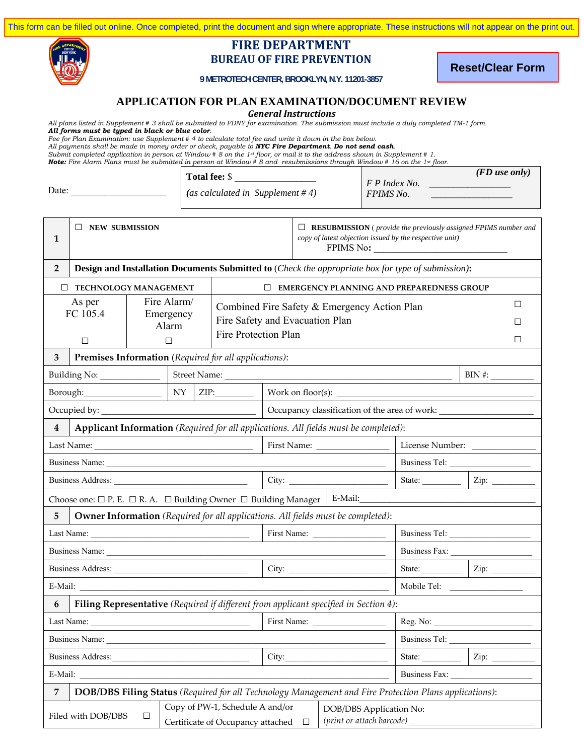

### **FIRE DEPARTMENT BUREAU OF FIRE PREVENTION**

**Reset/Clear Form**

**9 METROTECH CENTER, BROOKLYN, N.Y. 11201-3857**

#### **APPLICATION FOR PLAN EXAMINATION/DOCUMENT REVIEW**

*General Instructions*

*All plans listed in Supplement # 3 shall be submitted to FDNY for examination. The submission must include a duly completed TM-1 form.* 

*All forms must be typed in black or blue color.* 

*Fee for Plan Examination: use Supplement # 4 to calculate total fee and write it down in the box below.* 

*All payments shall be made in money order or check, payable to NYC Fire Department. Do not send cash.* 

*Submit completed application in person at Window # 8 on the 1st floor, or mail it to the address shown in Supplement # 1. Note: Fire Alarm Plans must be submitted in person at Window # 8 and resubmissions through Window # 16 on the 1st floor.* 

|       | Total fee: \$                       |                                   | $(FD$ use only) |
|-------|-------------------------------------|-----------------------------------|-----------------|
| Date: | (as calculated in Supplement $#4$ ) | F P Index No.<br><b>FPIMS</b> No. |                 |

|                                                                   | <b>NEW SUBMISSION</b>                                                                                                                                                          |  |        |                                                                                                                                                                                                                                |                                              |                        | $\Box$ RESUBMISSION ( <i>provide the previously assigned FPIMS number and</i><br>copy of latest objection issued by the respective unit) |                 |                                                                                                                                                 |
|-------------------------------------------------------------------|--------------------------------------------------------------------------------------------------------------------------------------------------------------------------------|--|--------|--------------------------------------------------------------------------------------------------------------------------------------------------------------------------------------------------------------------------------|----------------------------------------------|------------------------|------------------------------------------------------------------------------------------------------------------------------------------|-----------------|-------------------------------------------------------------------------------------------------------------------------------------------------|
| 1                                                                 |                                                                                                                                                                                |  |        |                                                                                                                                                                                                                                |                                              |                        | FPIMS No:                                                                                                                                |                 |                                                                                                                                                 |
| $\overline{2}$                                                    |                                                                                                                                                                                |  |        |                                                                                                                                                                                                                                |                                              |                        | Design and Installation Documents Submitted to (Check the appropriate box for type of submission):                                       |                 |                                                                                                                                                 |
| $\Box$                                                            | TECHNOLOGY MANAGEMENT                                                                                                                                                          |  |        |                                                                                                                                                                                                                                |                                              |                        | $\Box$ EMERGENCY PLANNING AND PREPAREDNESS GROUP                                                                                         |                 |                                                                                                                                                 |
| Fire Alarm/<br>As per                                             |                                                                                                                                                                                |  |        |                                                                                                                                                                                                                                | Combined Fire Safety & Emergency Action Plan |                        | □                                                                                                                                        |                 |                                                                                                                                                 |
| FC 105.4<br>Emergency<br>Fire Safety and Evacuation Plan<br>Alarm |                                                                                                                                                                                |  |        |                                                                                                                                                                                                                                |                                              |                        | ш                                                                                                                                        |                 |                                                                                                                                                 |
|                                                                   | □                                                                                                                                                                              |  | $\Box$ | Fire Protection Plan                                                                                                                                                                                                           |                                              |                        |                                                                                                                                          |                 | $\Box$                                                                                                                                          |
| 3                                                                 |                                                                                                                                                                                |  |        | Premises Information (Required for all applications):                                                                                                                                                                          |                                              |                        |                                                                                                                                          |                 |                                                                                                                                                 |
|                                                                   |                                                                                                                                                                                |  |        |                                                                                                                                                                                                                                |                                              |                        |                                                                                                                                          |                 | $\begin{tabular}{ c c } \hline \text{BIN $\#:\_\_ \text{max} \to \_\_ \text{max} \to \_\_ \text{max} \to \_\_ \text{max}} \hline \end{tabular}$ |
| Borough:                                                          |                                                                                                                                                                                |  |        | $NY$ $ZIP$ :                                                                                                                                                                                                                   |                                              |                        |                                                                                                                                          |                 |                                                                                                                                                 |
|                                                                   |                                                                                                                                                                                |  |        |                                                                                                                                                                                                                                |                                              |                        | Occupancy classification of the area of work:                                                                                            |                 |                                                                                                                                                 |
| $\overline{\mathbf{4}}$                                           |                                                                                                                                                                                |  |        |                                                                                                                                                                                                                                |                                              |                        | Applicant Information (Required for all applications. All fields must be completed):                                                     |                 |                                                                                                                                                 |
|                                                                   | Last Name: $\frac{1}{\sqrt{1-\frac{1}{2}} \cdot \frac{1}{2}}$                                                                                                                  |  |        |                                                                                                                                                                                                                                |                                              |                        |                                                                                                                                          | License Number: |                                                                                                                                                 |
| Business Tel:<br>Business Name:                                   |                                                                                                                                                                                |  |        |                                                                                                                                                                                                                                |                                              |                        |                                                                                                                                          |                 |                                                                                                                                                 |
| State: $\frac{1}{\sqrt{2}}$ $\frac{1}{\sqrt{2}}$                  |                                                                                                                                                                                |  |        |                                                                                                                                                                                                                                |                                              |                        |                                                                                                                                          |                 |                                                                                                                                                 |
|                                                                   | Choose one: $\square$ P. E. $\square$ R. A. $\square$ Building Owner $\square$ Building Manager   E-Mail:                                                                      |  |        |                                                                                                                                                                                                                                |                                              |                        |                                                                                                                                          |                 |                                                                                                                                                 |
| 5                                                                 |                                                                                                                                                                                |  |        |                                                                                                                                                                                                                                |                                              |                        | Owner Information (Required for all applications. All fields must be completed):                                                         |                 |                                                                                                                                                 |
| Last Name: $\frac{1}{\sqrt{1-\frac{1}{2}} \cdot \frac{1}{2}}$     |                                                                                                                                                                                |  |        |                                                                                                                                                                                                                                |                                              |                        |                                                                                                                                          |                 |                                                                                                                                                 |
|                                                                   |                                                                                                                                                                                |  |        |                                                                                                                                                                                                                                |                                              | Business Fax:          |                                                                                                                                          |                 |                                                                                                                                                 |
|                                                                   |                                                                                                                                                                                |  |        | Business Address: 2008. Exercísion and the Manual Association and the Manual Association and the Manual Association and the Manual Association and the Manual Association and the Manual Association and the Manual Associatio | City:                                        |                        |                                                                                                                                          |                 |                                                                                                                                                 |
|                                                                   |                                                                                                                                                                                |  |        |                                                                                                                                                                                                                                |                                              |                        |                                                                                                                                          |                 |                                                                                                                                                 |
| 6                                                                 |                                                                                                                                                                                |  |        |                                                                                                                                                                                                                                |                                              |                        | Filing Representative (Required if different from applicant specified in Section 4):                                                     |                 |                                                                                                                                                 |
| First Name:                                                       |                                                                                                                                                                                |  |        |                                                                                                                                                                                                                                |                                              |                        |                                                                                                                                          |                 |                                                                                                                                                 |
| Business Name:                                                    |                                                                                                                                                                                |  |        |                                                                                                                                                                                                                                |                                              |                        |                                                                                                                                          |                 |                                                                                                                                                 |
|                                                                   |                                                                                                                                                                                |  |        |                                                                                                                                                                                                                                | City:                                        | State: $\qquad \qquad$ |                                                                                                                                          |                 |                                                                                                                                                 |
| Business Fax:<br>E-Mail:                                          |                                                                                                                                                                                |  |        |                                                                                                                                                                                                                                |                                              |                        |                                                                                                                                          |                 |                                                                                                                                                 |
| 7                                                                 |                                                                                                                                                                                |  |        |                                                                                                                                                                                                                                |                                              |                        | DOB/DBS Filing Status (Required for all Technology Management and Fire Protection Plans applications):                                   |                 |                                                                                                                                                 |
|                                                                   | Copy of PW-1, Schedule A and/or<br>DOB/DBS Application No:<br>Filed with DOB/DBS<br>$\Box$<br>$(print \ or \ attach \ barcode)$<br>Certificate of Occupancy attached<br>$\Box$ |  |        |                                                                                                                                                                                                                                |                                              |                        |                                                                                                                                          |                 |                                                                                                                                                 |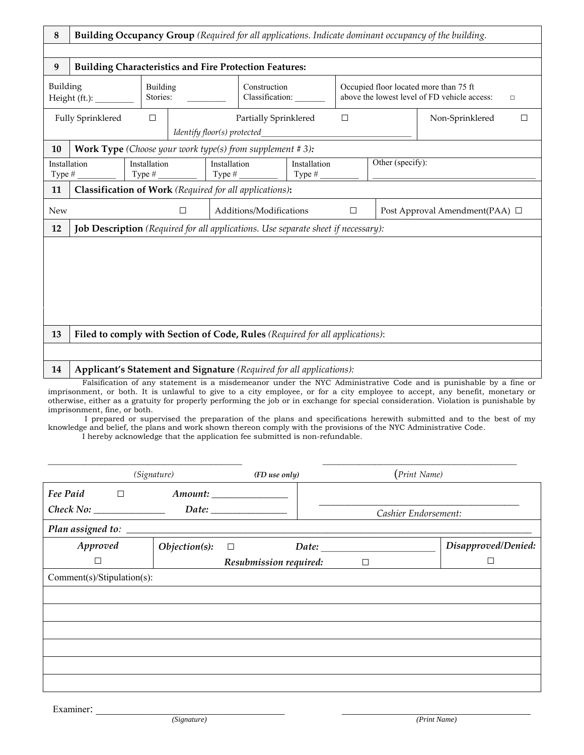| $\bf 8$                | <b>Building Occupancy Group</b> (Required for all applications. Indicate dominant occupancy of the building.                                                                                                                                     |                           |                             |              |                                                                                                                           |                           |        |                  |                                |
|------------------------|--------------------------------------------------------------------------------------------------------------------------------------------------------------------------------------------------------------------------------------------------|---------------------------|-----------------------------|--------------|---------------------------------------------------------------------------------------------------------------------------|---------------------------|--------|------------------|--------------------------------|
|                        |                                                                                                                                                                                                                                                  |                           |                             |              |                                                                                                                           |                           |        |                  |                                |
| 9                      | <b>Building Characteristics and Fire Protection Features:</b>                                                                                                                                                                                    |                           |                             |              |                                                                                                                           |                           |        |                  |                                |
|                        | Building<br><b>Building</b><br>Stories:<br>Height $(ft.)$ :                                                                                                                                                                                      |                           |                             |              | Construction<br>Occupied floor located more than 75 ft<br>above the lowest level of FD vehicle access:<br>Classification: |                           | $\Box$ |                  |                                |
|                        | <b>Fully Sprinklered</b>                                                                                                                                                                                                                         | $\Box$                    | Identify floor(s) protected |              | Partially Sprinklered                                                                                                     |                           | $\Box$ |                  | Non-Sprinklered<br>$\Box$      |
| 10                     | <b>Work Type</b> (Choose your work type(s) from supplement $# 3$ ):                                                                                                                                                                              |                           |                             |              |                                                                                                                           |                           |        |                  |                                |
| Installation<br>Type # |                                                                                                                                                                                                                                                  | Installation<br>Type $#_$ |                             | Installation |                                                                                                                           | Installation<br>Type $#_$ |        | Other (specify): |                                |
| 11                     | Classification of Work (Required for all applications):                                                                                                                                                                                          |                           |                             |              |                                                                                                                           |                           |        |                  |                                |
| <b>New</b>             |                                                                                                                                                                                                                                                  |                           | $\Box$                      |              | Additions/Modifications                                                                                                   |                           | $\Box$ |                  | Post Approval Amendment(PAA) □ |
| 12                     | <b>Job Description</b> (Required for all applications. Use separate sheet if necessary):                                                                                                                                                         |                           |                             |              |                                                                                                                           |                           |        |                  |                                |
|                        |                                                                                                                                                                                                                                                  |                           |                             |              |                                                                                                                           |                           |        |                  |                                |
|                        |                                                                                                                                                                                                                                                  |                           |                             |              |                                                                                                                           |                           |        |                  |                                |
|                        |                                                                                                                                                                                                                                                  |                           |                             |              |                                                                                                                           |                           |        |                  |                                |
|                        |                                                                                                                                                                                                                                                  |                           |                             |              |                                                                                                                           |                           |        |                  |                                |
|                        |                                                                                                                                                                                                                                                  |                           |                             |              |                                                                                                                           |                           |        |                  |                                |
| 13                     | Filed to comply with Section of Code, Rules (Required for all applications):                                                                                                                                                                     |                           |                             |              |                                                                                                                           |                           |        |                  |                                |
|                        |                                                                                                                                                                                                                                                  |                           |                             |              |                                                                                                                           |                           |        |                  |                                |
| 14                     | Applicant's Statement and Signature (Required for all applications):                                                                                                                                                                             |                           |                             |              |                                                                                                                           |                           |        |                  |                                |
|                        | Falsification of any statement is a misdemeanor under the NYC Administrative Code and is punishable by a fine or<br>imprisonment, or both. It is unlawful to give to a city employee, or for a city employee to accept, any benefit, monetary or |                           |                             |              |                                                                                                                           |                           |        |                  |                                |

imprisonment, or both. It is unlawful to give to a city employee, or for a city employee to accept, any benefit, monetary or otherwise, either as a gratuity for properly performing the job or in exchange for special consideration. Violation is punishable by imprisonment, fine, or both.

 I prepared or supervised the preparation of the plans and specifications herewith submitted and to the best of my knowledge and belief, the plans and work shown thereon comply with the provisions of the NYC Administrative Code.

I hereby acknowledge that the application fee submitted is non-refundable.

|                            | (Signature)      | (FD use only)            | (Print Name)         |                     |
|----------------------------|------------------|--------------------------|----------------------|---------------------|
| Fee Paid<br>$\Box$         |                  | Amount: ________________ |                      |                     |
|                            |                  |                          | Cashier Endorsement: |                     |
|                            |                  |                          |                      |                     |
| Approved                   | $Objection(s)$ : | Date:<br>$\Box$          |                      | Disapproved/Denied: |
| □                          |                  | Resubmission required:   | $\Box$               | $\Box$              |
| Comment(s)/Stipulation(s): |                  |                          |                      |                     |
|                            |                  |                          |                      |                     |
|                            |                  |                          |                      |                     |
|                            |                  |                          |                      |                     |
|                            |                  |                          |                      |                     |
|                            |                  |                          |                      |                     |
|                            |                  |                          |                      |                     |

Examiner: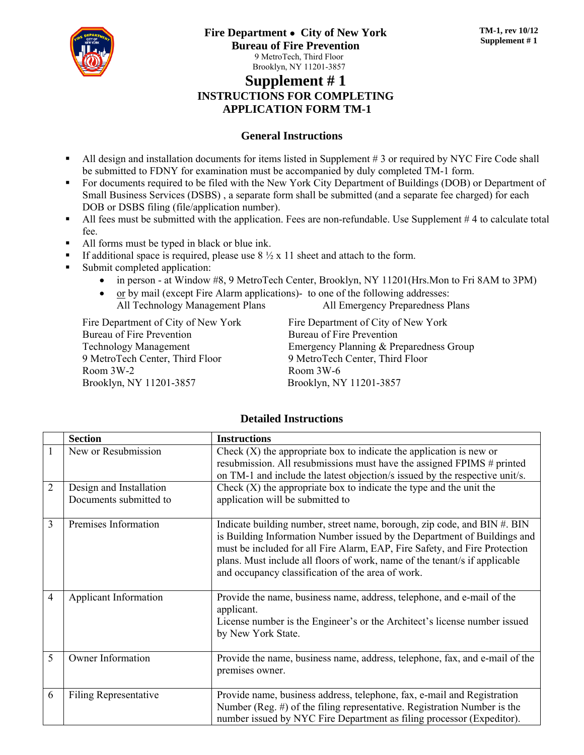

## **Supplement # 1 INSTRUCTIONS FOR COMPLETING APPLICATION FORM TM-1**

#### **General Instructions**

- All design and installation documents for items listed in Supplement # 3 or required by NYC Fire Code shall be submitted to FDNY for examination must be accompanied by duly completed TM-1 form.
- For documents required to be filed with the New York City Department of Buildings (DOB) or Department of Small Business Services (DSBS) , a separate form shall be submitted (and a separate fee charged) for each DOB or DSBS filing (file/application number).
- All fees must be submitted with the application. Fees are non-refundable. Use Supplement #4 to calculate total fee.
- All forms must be typed in black or blue ink.
- If additional space is required, please use  $8\frac{1}{2} \times 11$  sheet and attach to the form.
- Submit completed application:
	- in person at Window #8, 9 MetroTech Center, Brooklyn, NY 11201(Hrs.Mon to Fri 8AM to 3PM)
	- $\bullet$  or by mail (except Fire Alarm applications)- to one of the following addresses:

| All Technology Management Plans | All Emergency Preparedness Plans |
|---------------------------------|----------------------------------|
|                                 |                                  |

Fire Department of City of New York Bureau of Fire Prevention Technology Management 9 MetroTech Center, Third Floor Room 3W-2 Brooklyn, NY 11201-3857

Fire Department of City of New York Bureau of Fire Prevention Emergency Planning & Preparedness Group 9 MetroTech Center, Third Floor Room 3W-6 Brooklyn, NY 11201-3857

#### **Detailed Instructions**

|                | <b>Section</b>                                    | <b>Instructions</b>                                                                                                                                                                                                                                                                                                                                                   |
|----------------|---------------------------------------------------|-----------------------------------------------------------------------------------------------------------------------------------------------------------------------------------------------------------------------------------------------------------------------------------------------------------------------------------------------------------------------|
|                | New or Resubmission                               | Check $(X)$ the appropriate box to indicate the application is new or<br>resubmission. All resubmissions must have the assigned FPIMS # printed<br>on TM-1 and include the latest objection/s issued by the respective unit/s.                                                                                                                                        |
| $\overline{2}$ | Design and Installation<br>Documents submitted to | Check $(X)$ the appropriate box to indicate the type and the unit the<br>application will be submitted to                                                                                                                                                                                                                                                             |
| 3              | Premises Information                              | Indicate building number, street name, borough, zip code, and BIN #. BIN<br>is Building Information Number issued by the Department of Buildings and<br>must be included for all Fire Alarm, EAP, Fire Safety, and Fire Protection<br>plans. Must include all floors of work, name of the tenant's if applicable<br>and occupancy classification of the area of work. |
| $\overline{4}$ | <b>Applicant Information</b>                      | Provide the name, business name, address, telephone, and e-mail of the<br>applicant.<br>License number is the Engineer's or the Architect's license number issued<br>by New York State.                                                                                                                                                                               |
| 5              | <b>Owner Information</b>                          | Provide the name, business name, address, telephone, fax, and e-mail of the<br>premises owner.                                                                                                                                                                                                                                                                        |
| 6              | <b>Filing Representative</b>                      | Provide name, business address, telephone, fax, e-mail and Registration<br>Number (Reg. $#$ ) of the filing representative. Registration Number is the<br>number issued by NYC Fire Department as filing processor (Expeditor).                                                                                                                                       |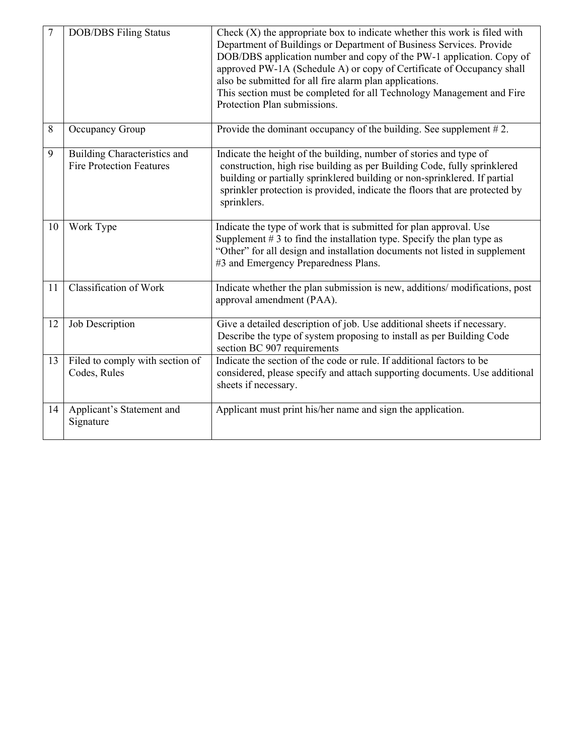| 7  | <b>DOB/DBS</b> Filing Status                                    | Check $(X)$ the appropriate box to indicate whether this work is filed with<br>Department of Buildings or Department of Business Services. Provide<br>DOB/DBS application number and copy of the PW-1 application. Copy of<br>approved PW-1A (Schedule A) or copy of Certificate of Occupancy shall<br>also be submitted for all fire alarm plan applications.<br>This section must be completed for all Technology Management and Fire<br>Protection Plan submissions. |
|----|-----------------------------------------------------------------|-------------------------------------------------------------------------------------------------------------------------------------------------------------------------------------------------------------------------------------------------------------------------------------------------------------------------------------------------------------------------------------------------------------------------------------------------------------------------|
| 8  | Occupancy Group                                                 | Provide the dominant occupancy of the building. See supplement $#2$ .                                                                                                                                                                                                                                                                                                                                                                                                   |
| 9  | Building Characteristics and<br><b>Fire Protection Features</b> | Indicate the height of the building, number of stories and type of<br>construction, high rise building as per Building Code, fully sprinklered<br>building or partially sprinklered building or non-sprinklered. If partial<br>sprinkler protection is provided, indicate the floors that are protected by<br>sprinklers.                                                                                                                                               |
| 10 | Work Type                                                       | Indicate the type of work that is submitted for plan approval. Use<br>Supplement $# 3$ to find the installation type. Specify the plan type as<br>"Other" for all design and installation documents not listed in supplement<br>#3 and Emergency Preparedness Plans.                                                                                                                                                                                                    |
| 11 | Classification of Work                                          | Indicate whether the plan submission is new, additions/modifications, post<br>approval amendment (PAA).                                                                                                                                                                                                                                                                                                                                                                 |
| 12 | Job Description                                                 | Give a detailed description of job. Use additional sheets if necessary.<br>Describe the type of system proposing to install as per Building Code<br>section BC 907 requirements                                                                                                                                                                                                                                                                                         |
| 13 | Filed to comply with section of<br>Codes, Rules                 | Indicate the section of the code or rule. If additional factors to be<br>considered, please specify and attach supporting documents. Use additional<br>sheets if necessary.                                                                                                                                                                                                                                                                                             |
| 14 | Applicant's Statement and<br>Signature                          | Applicant must print his/her name and sign the application.                                                                                                                                                                                                                                                                                                                                                                                                             |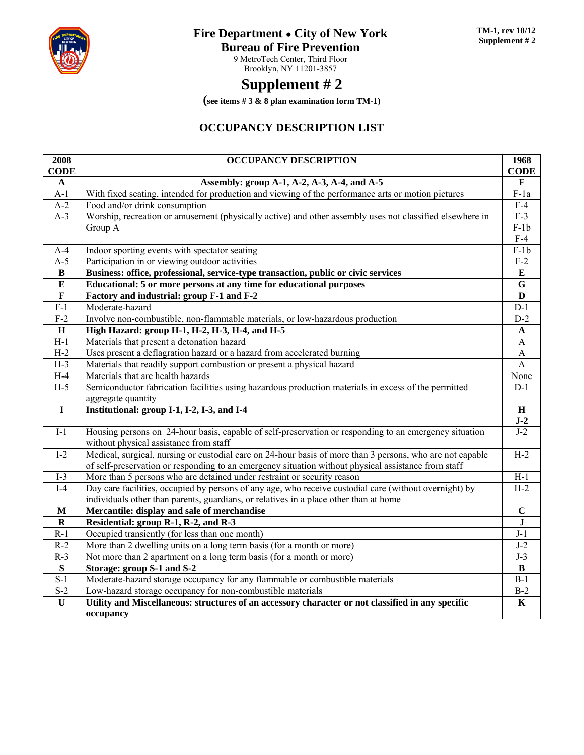

# **Fire Department** ● **City of New York**

### **Bureau of Fire Prevention**

9 MetroTech Center, Third Floor Brooklyn, NY 11201-3857

# **Supplement # 2**

**(see items # 3 & 8 plan examination form TM-1)** 

## **OCCUPANCY DESCRIPTION LIST**

| 2008                    | <b>OCCUPANCY DESCRIPTION</b>                                                                                                                     | 1968              |
|-------------------------|--------------------------------------------------------------------------------------------------------------------------------------------------|-------------------|
| <b>CODE</b>             |                                                                                                                                                  | <b>CODE</b>       |
| $\mathbf{A}$            | Assembly: group A-1, A-2, A-3, A-4, and A-5                                                                                                      | $\mathbf F$       |
| $A-1$                   | With fixed seating, intended for production and viewing of the performance arts or motion pictures                                               | $F-1a$            |
| $A-2$                   | Food and/or drink consumption                                                                                                                    | $F-4$             |
| $A-3$                   | Worship, recreation or amusement (physically active) and other assembly uses not classified elsewhere in                                         | $\overline{F-3}$  |
|                         | Group A                                                                                                                                          | $F-1b$            |
|                         |                                                                                                                                                  | $F-4$             |
| $A-4$                   | Indoor sporting events with spectator seating                                                                                                    | $F-1b$            |
| $A-5$                   | Participation in or viewing outdoor activities                                                                                                   | $F-2$             |
| B                       | Business: office, professional, service-type transaction, public or civic services                                                               | ${\bf E}$         |
| ${\bf E}$               | Educational: 5 or more persons at any time for educational purposes                                                                              | ${\bf G}$         |
| $\mathbf{F}$            | Factory and industrial: group F-1 and F-2                                                                                                        | D                 |
| $F-1$                   | Moderate-hazard                                                                                                                                  | $\overline{D-1}$  |
| $F-2$                   | Involve non-combustible, non-flammable materials, or low-hazardous production                                                                    | $D-2$             |
| $\, {\bf H}$            | High Hazard: group H-1, H-2, H-3, H-4, and H-5                                                                                                   | $\mathbf A$       |
| $H-1$                   | Materials that present a detonation hazard                                                                                                       | $\overline{A}$    |
| $H-2$                   | Uses present a deflagration hazard or a hazard from accelerated burning                                                                          | A                 |
| $H-3$                   | Materials that readily support combustion or present a physical hazard                                                                           | $\overline{A}$    |
| $H-4$                   | Materials that are health hazards                                                                                                                | None              |
| $H-5$                   | Semiconductor fabrication facilities using hazardous production materials in excess of the permitted                                             | $D-1$             |
|                         | aggregate quantity                                                                                                                               |                   |
| $\mathbf I$             | Institutional: group I-1, I-2, I-3, and I-4                                                                                                      | $\mathbf H$       |
|                         |                                                                                                                                                  | $J-2$             |
| $I-1$                   | Housing persons on 24-hour basis, capable of self-preservation or responding to an emergency situation<br>without physical assistance from staff | $J-2$             |
| $I-2$                   | Medical, surgical, nursing or custodial care on 24-hour basis of more than 3 persons, who are not capable                                        | $H-2$             |
|                         | of self-preservation or responding to an emergency situation without physical assistance from staff                                              |                   |
| $I-3$                   | More than 5 persons who are detained under restraint or security reason                                                                          | $\overline{H}$ -1 |
| $\overline{I-4}$        | Day care facilities, occupied by persons of any age, who receive custodial care (without overnight) by                                           | $H-2$             |
|                         | individuals other than parents, guardians, or relatives in a place other than at home                                                            |                   |
| $\mathbf M$             | Mercantile: display and sale of merchandise                                                                                                      | $\bf C$           |
| $\mathbf R$             | Residential: group R-1, R-2, and R-3                                                                                                             | ${\bf J}$         |
| $R-1$                   | Occupied transiently (for less than one month)                                                                                                   | $J-1$             |
| $R-2$                   | More than 2 dwelling units on a long term basis (for a month or more)                                                                            | $J-2$             |
| $R-3$                   | Not more than 2 apartment on a long term basis (for a month or more)                                                                             | $J-3$             |
| $\overline{\mathbf{s}}$ | Storage: group S-1 and S-2                                                                                                                       | $\bf{B}$          |
| $S-1$                   | Moderate-hazard storage occupancy for any flammable or combustible materials                                                                     | $B-1$             |
| $S-2$                   | Low-hazard storage occupancy for non-combustible materials                                                                                       | $B-2$             |
| $\mathbf U$             | Utility and Miscellaneous: structures of an accessory character or not classified in any specific                                                | $\mathbf K$       |
|                         | occupancy                                                                                                                                        |                   |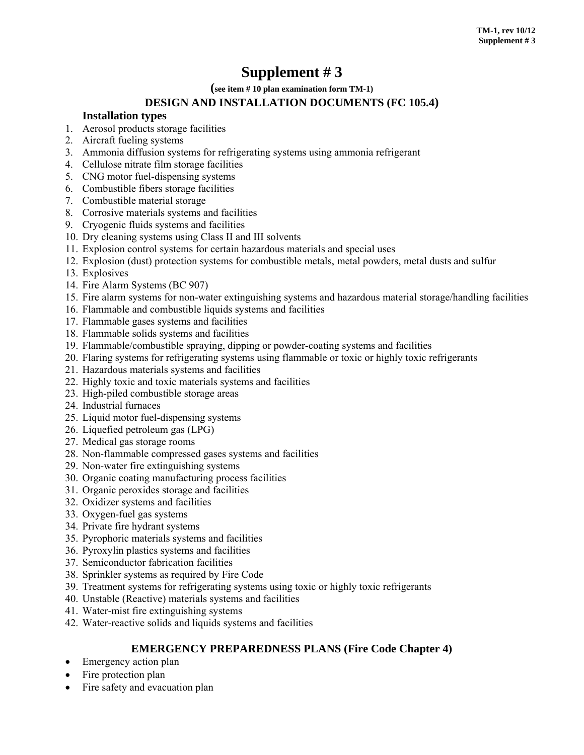# **Supplement # 3**

**(see item # 10 plan examination form TM-1)**

## **DESIGN AND INSTALLATION DOCUMENTS (FC 105.4)**

#### **Installation types**

- 1. Aerosol products storage facilities
- 2. Aircraft fueling systems
- 3. Ammonia diffusion systems for refrigerating systems using ammonia refrigerant
- 4. Cellulose nitrate film storage facilities
- 5. CNG motor fuel-dispensing systems
- 6. Combustible fibers storage facilities
- 7. Combustible material storage
- 8. Corrosive materials systems and facilities
- 9. Cryogenic fluids systems and facilities
- 10. Dry cleaning systems using Class II and III solvents
- 11. Explosion control systems for certain hazardous materials and special uses
- 12. Explosion (dust) protection systems for combustible metals, metal powders, metal dusts and sulfur
- 13. Explosives
- 14. Fire Alarm Systems (BC 907)
- 15. Fire alarm systems for non-water extinguishing systems and hazardous material storage/handling facilities
- 16. Flammable and combustible liquids systems and facilities
- 17. Flammable gases systems and facilities
- 18. Flammable solids systems and facilities
- 19. Flammable/combustible spraying, dipping or powder-coating systems and facilities
- 20. Flaring systems for refrigerating systems using flammable or toxic or highly toxic refrigerants
- 21. Hazardous materials systems and facilities
- 22. Highly toxic and toxic materials systems and facilities
- 23. High-piled combustible storage areas
- 24. Industrial furnaces
- 25. Liquid motor fuel-dispensing systems
- 26. Liquefied petroleum gas (LPG)
- 27. Medical gas storage rooms
- 28. Non-flammable compressed gases systems and facilities
- 29. Non-water fire extinguishing systems
- 30. Organic coating manufacturing process facilities
- 31. Organic peroxides storage and facilities
- 32. Oxidizer systems and facilities
- 33. Oxygen-fuel gas systems
- 34. Private fire hydrant systems
- 35. Pyrophoric materials systems and facilities
- 36. Pyroxylin plastics systems and facilities
- 37. Semiconductor fabrication facilities
- 38. Sprinkler systems as required by Fire Code
- 39. Treatment systems for refrigerating systems using toxic or highly toxic refrigerants
- 40. Unstable (Reactive) materials systems and facilities
- 41. Water-mist fire extinguishing systems
- 42. Water-reactive solids and liquids systems and facilities

#### **EMERGENCY PREPAREDNESS PLANS (Fire Code Chapter 4)**

- Emergency action plan
- Fire protection plan
- Fire safety and evacuation plan